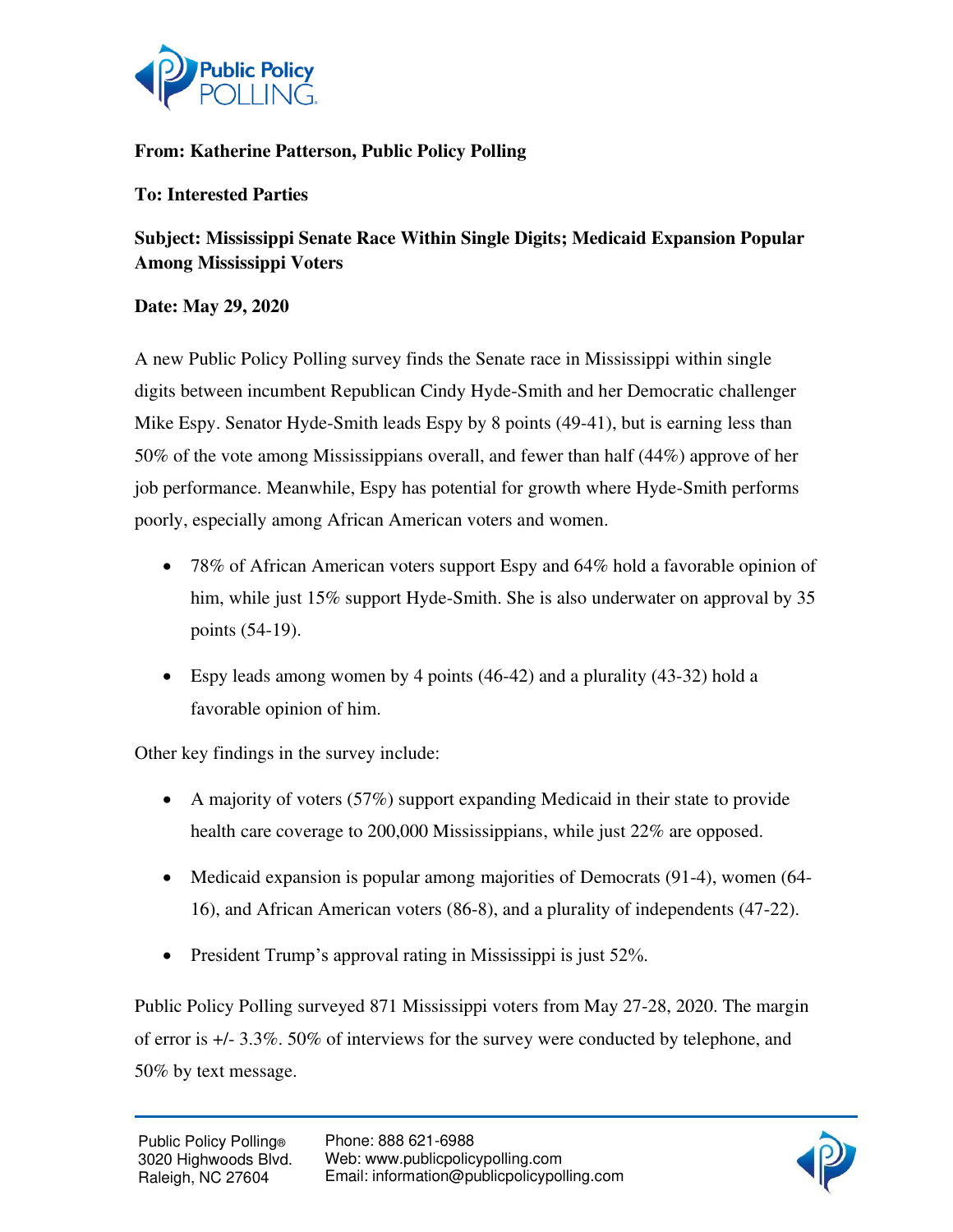

# **From: Katherine Patterson, Public Policy Polling**

## **To: Interested Parties**

**Subject: Mississippi Senate Race Within Single Digits; Medicaid Expansion Popular Among Mississippi Voters** 

### **Date: May 29, 2020**

A new Public Policy Polling survey finds the Senate race in Mississippi within single digits between incumbent Republican Cindy Hyde-Smith and her Democratic challenger Mike Espy. Senator Hyde-Smith leads Espy by 8 points (49-41), but is earning less than 50% of the vote among Mississippians overall, and fewer than half (44%) approve of her job performance. Meanwhile, Espy has potential for growth where Hyde-Smith performs poorly, especially among African American voters and women.

- 78% of African American voters support Espy and 64% hold a favorable opinion of him, while just 15% support Hyde-Smith. She is also underwater on approval by 35 points (54-19).
- Espy leads among women by 4 points (46-42) and a plurality (43-32) hold a favorable opinion of him.

Other key findings in the survey include:

- A majority of voters (57%) support expanding Medicaid in their state to provide health care coverage to 200,000 Mississippians, while just 22% are opposed.
- Medicaid expansion is popular among majorities of Democrats (91-4), women (64-16), and African American voters (86-8), and a plurality of independents (47-22).
- President Trump's approval rating in Mississippi is just 52%.

Public Policy Polling surveyed 871 Mississippi voters from May 27-28, 2020. The margin of error is +/- 3.3%. 50% of interviews for the survey were conducted by telephone, and 50% by text message.

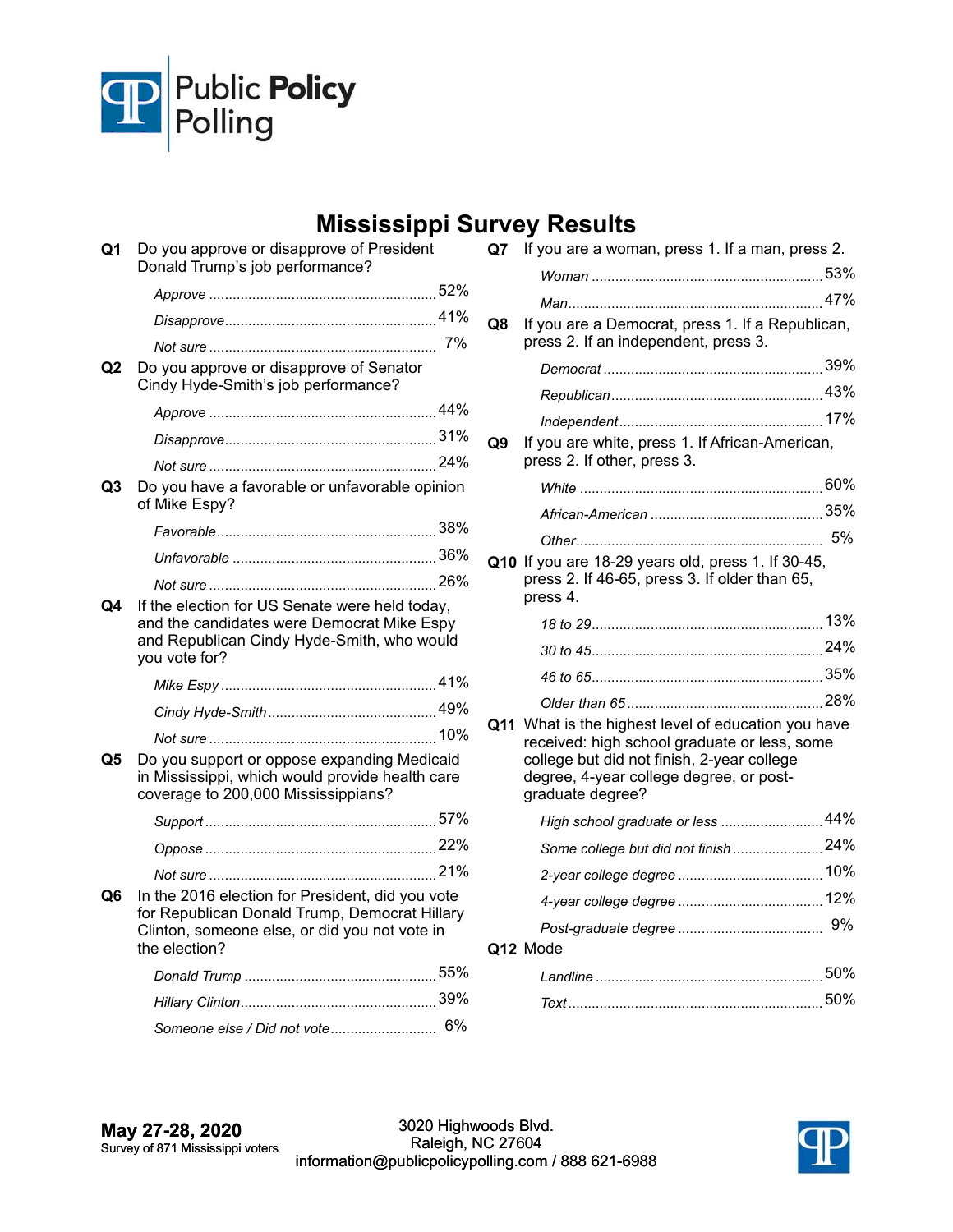

# **Mississippi Survey Results**

| Q1 | Do you approve or disapprove of President<br>Donald Trump's job performance?                                                                                        |    |  |
|----|---------------------------------------------------------------------------------------------------------------------------------------------------------------------|----|--|
|    |                                                                                                                                                                     |    |  |
|    |                                                                                                                                                                     |    |  |
|    |                                                                                                                                                                     | 7% |  |
| Q2 | Do you approve or disapprove of Senator<br>Cindy Hyde-Smith's job performance?                                                                                      |    |  |
|    |                                                                                                                                                                     |    |  |
|    |                                                                                                                                                                     |    |  |
|    |                                                                                                                                                                     |    |  |
| Q3 | Do you have a favorable or unfavorable opinion<br>of Mike Espy?                                                                                                     |    |  |
|    |                                                                                                                                                                     |    |  |
|    |                                                                                                                                                                     |    |  |
|    |                                                                                                                                                                     |    |  |
| Q4 | If the election for US Senate were held today,<br>and the candidates were Democrat Mike Espy<br>and Republican Cindy Hyde-Smith, who would<br>you vote for?         |    |  |
|    |                                                                                                                                                                     |    |  |
|    |                                                                                                                                                                     |    |  |
|    |                                                                                                                                                                     |    |  |
| Q5 | Do you support or oppose expanding Medicaid<br>in Mississippi, which would provide health care<br>coverage to 200,000 Mississippians?                               |    |  |
|    |                                                                                                                                                                     |    |  |
|    |                                                                                                                                                                     |    |  |
|    |                                                                                                                                                                     |    |  |
| Q6 | In the 2016 election for President, did you vote<br>for Republican Donald Trump, Democrat Hillary<br>Clinton, someone else, or did you not vote in<br>the election? |    |  |
|    |                                                                                                                                                                     |    |  |
|    |                                                                                                                                                                     |    |  |
|    | Someone else / Did not vote 6%                                                                                                                                      |    |  |

|    | TYEY NESUILS                                                                                                                                                                                                     |  |  |
|----|------------------------------------------------------------------------------------------------------------------------------------------------------------------------------------------------------------------|--|--|
| Q7 | If you are a woman, press 1. If a man, press 2.                                                                                                                                                                  |  |  |
|    |                                                                                                                                                                                                                  |  |  |
|    |                                                                                                                                                                                                                  |  |  |
| Q8 | If you are a Democrat, press 1. If a Republican,<br>press 2. If an independent, press 3.                                                                                                                         |  |  |
|    |                                                                                                                                                                                                                  |  |  |
|    |                                                                                                                                                                                                                  |  |  |
|    |                                                                                                                                                                                                                  |  |  |
| Q9 | If you are white, press 1. If African-American,<br>press 2. If other, press 3.                                                                                                                                   |  |  |
|    |                                                                                                                                                                                                                  |  |  |
|    |                                                                                                                                                                                                                  |  |  |
|    |                                                                                                                                                                                                                  |  |  |
|    | Q10 If you are 18-29 years old, press 1. If 30-45,<br>press 2. If 46-65, press 3. If older than 65,<br>press 4.                                                                                                  |  |  |
|    |                                                                                                                                                                                                                  |  |  |
|    |                                                                                                                                                                                                                  |  |  |
|    |                                                                                                                                                                                                                  |  |  |
|    |                                                                                                                                                                                                                  |  |  |
|    | Q11 What is the highest level of education you have<br>received: high school graduate or less, some<br>college but did not finish, 2-year college<br>degree, 4-year college degree, or post-<br>graduate degree? |  |  |
|    | High school graduate or less  44%                                                                                                                                                                                |  |  |
|    | Some college but did not finish 24%                                                                                                                                                                              |  |  |
|    |                                                                                                                                                                                                                  |  |  |
|    |                                                                                                                                                                                                                  |  |  |
|    |                                                                                                                                                                                                                  |  |  |
|    | Q12 Mode                                                                                                                                                                                                         |  |  |
|    |                                                                                                                                                                                                                  |  |  |
|    |                                                                                                                                                                                                                  |  |  |